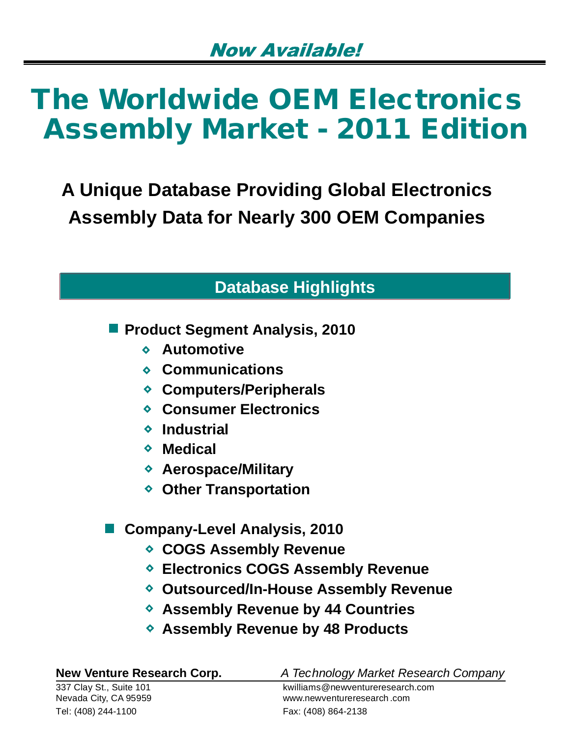**A Unique Database Providing Global Electronics Assembly Data for Nearly 300 OEM Companies**

# **Database Highlights**

**Product Segment Analysis, 2010** 

- **Automotive**
- **Communications**
- **Computers/Peripherals**
- **Consumer Electronics**
- **Industrial**
- **Medical**
- **Aerospace/Military**
- **Other Transportation**

### **Company-Level Analysis, 2010**

- **COGS Assembly Revenue**
- **Electronics COGS Assembly Revenue**
- **Outsourced/In-House Assembly Revenue**
- **Assembly Revenue by 44 Countries**
- **Assembly Revenue by 48 Products**

| <b>New Venture Research Corp.</b> | A Technology Market Research Company |
|-----------------------------------|--------------------------------------|
| 337 Clay St., Suite 101           | kwilliams@newventureresearch.com     |
| Nevada City, CA 95959             | www.newventureresearch.com           |
| Tel: (408) 244-1100               | Fax: (408) 864-2138                  |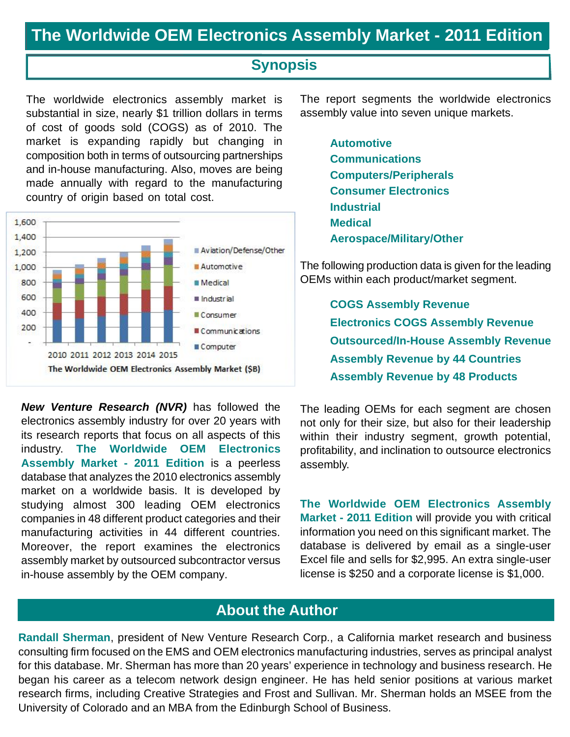### **Synopsis**

The worldwide electronics assembly market is substantial in size, nearly \$1 trillion dollars in terms of cost of goods sold (COGS) as of 2010. The market is expanding rapidly but changing in composition both in terms of outsourcing partnerships and in-house manufacturing. Also, moves are being made annually with regard to the manufacturing country of origin based on total cost.



*New Venture Research (NVR)* has followed the electronics assembly industry for over 20 years with its research reports that focus on all aspects of this industry. **The Worldwide OEM Electronics Assembly Market - 2011 Edition** is a peerless database that analyzes the 2010 electronics assembly market on a worldwide basis. It is developed by studying almost 300 leading OEM electronics companies in 48 different product categories and their manufacturing activities in 44 different countries. Moreover, the report examines the electronics assembly market by outsourced subcontractor versus in-house assembly by the OEM company.

The report segments the worldwide electronics assembly value into seven unique markets.

> **Automotive Communications Computers/Peripherals Consumer Electronics Industrial Medical Aerospace/Military/Other**

The following production data is given for the leading OEMs within each product/market segment.

> **COGS Assembly Revenue Electronics COGS Assembly Revenue Outsourced/In-House Assembly Revenue Assembly Revenue by 44 Countries Assembly Revenue by 48 Products**

The leading OEMs for each segment are chosen not only for their size, but also for their leadership within their industry segment, growth potential, profitability, and inclination to outsource electronics assembly.

**The Worldwide OEM Electronics Assembly Market - 2011 Edition** will provide you with critical information you need on this significant market. The database is delivered by email as a single-user Excel file and sells for \$2,995. An extra single-user license is \$250 and a corporate license is \$1,000.

### **About the Author**

**Randall Sherman**, president of New Venture Research Corp., a California market research and business consulting firm focused on the EMS and OEM electronics manufacturing industries, serves as principal analyst for this database. Mr. Sherman has more than 20 years' experience in technology and business research. He began his career as a telecom network design engineer. He has held senior positions at various market research firms, including Creative Strategies and Frost and Sullivan. Mr. Sherman holds an MSEE from the University of Colorado and an MBA from the Edinburgh School of Business.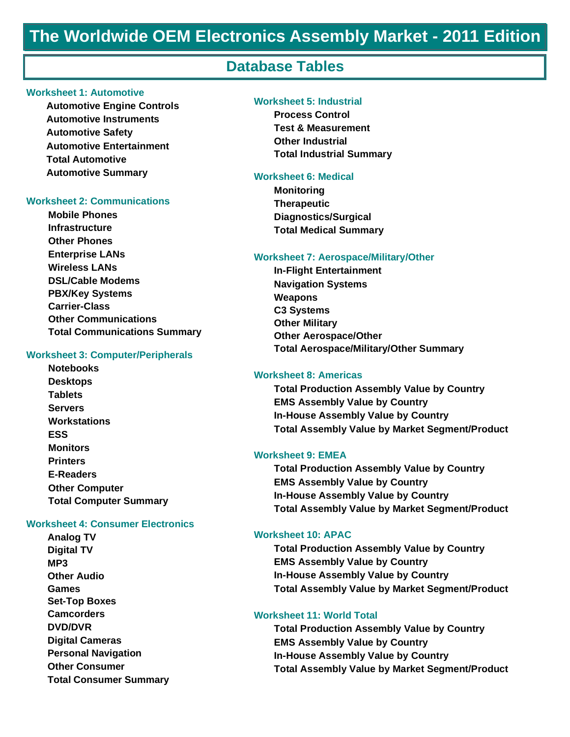### **Database Tables**

#### **Worksheet 1: Automotive**

**Automotive Engine Controls Automotive Instruments Automotive Safety Automotive Entertainment Total Automotive Automotive Summary**

#### **Worksheet 2: Communications**

**Mobile Phones Infrastructure Other Phones Enterprise LANs Wireless LANs DSL/Cable Modems PBX/Key Systems Carrier-Class Other Communications Total Communications Summary** 

#### **Worksheet 3: Computer/Peripherals**

**Notebooks Desktops Tablets Servers Workstations ESS Monitors Printers E-Readers Other Computer Total Computer Summary** 

#### **Worksheet 4: Consumer Electronics**

**Analog TV Digital TV MP3 Other Audio Games Set-Top Boxes Camcorders DVD/DVR Digital Cameras Personal Navigation Other Consumer Total Consumer Summary**

#### **Worksheet 5: Industrial**

**Process Control Test & Measurement Other Industrial Total Industrial Summary**

#### **Worksheet 6: Medical**

**Monitoring Therapeutic Diagnostics/Surgical Total Medical Summary** 

#### **Worksheet 7: Aerospace/Military/Other**

**In-Flight Entertainment Navigation Systems Weapons C3 Systems Other Military Other Aerospace/Other Total Aerospace/Military/Other Summary** 

#### **Worksheet 8: Americas**

**Total Production Assembly Value by Country EMS Assembly Value by Country In-House Assembly Value by Country Total Assembly Value by Market Segment/Product**

#### **Worksheet 9: EMEA**

**Total Production Assembly Value by Country EMS Assembly Value by Country In-House Assembly Value by Country Total Assembly Value by Market Segment/Product**

#### **Worksheet 10: APAC**

**Total Production Assembly Value by Country EMS Assembly Value by Country In-House Assembly Value by Country Total Assembly Value by Market Segment/Product**

#### **Worksheet 11: World Total**

**Total Production Assembly Value by Country EMS Assembly Value by Country In-House Assembly Value by Country Total Assembly Value by Market Segment/Product**